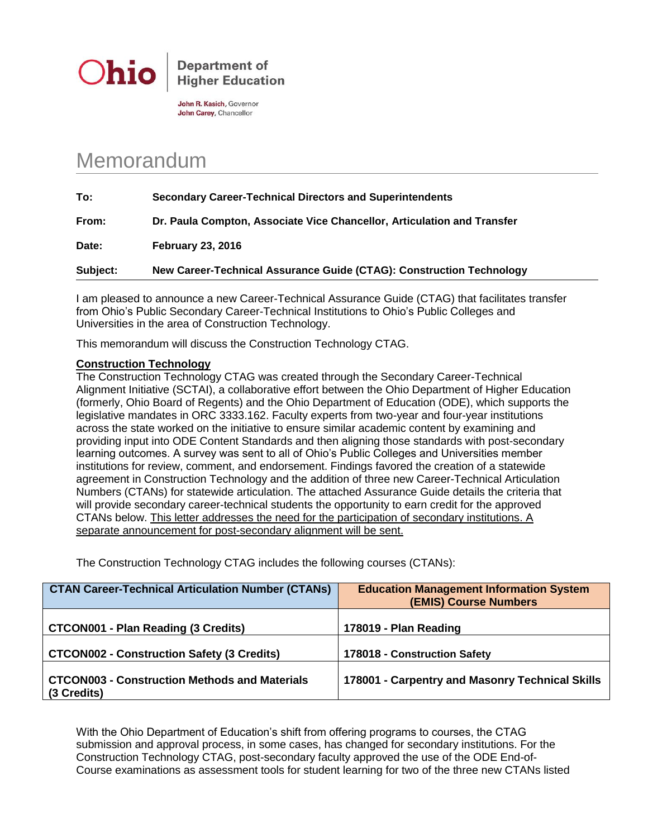

**Department of Higher Education** 

John R. Kasich, Governor John Carey, Chancellor

## Memorandum

**To: Secondary Career-Technical Directors and Superintendents From: Dr. Paula Compton, Associate Vice Chancellor, Articulation and Transfer Date: February 23, 2016 Subject: New Career-Technical Assurance Guide (CTAG): Construction Technology**

I am pleased to announce a new Career-Technical Assurance Guide (CTAG) that facilitates transfer from Ohio's Public Secondary Career-Technical Institutions to Ohio's Public Colleges and Universities in the area of Construction Technology.

This memorandum will discuss the Construction Technology CTAG.

## **Construction Technology**

The Construction Technology CTAG was created through the Secondary Career-Technical Alignment Initiative (SCTAI), a collaborative effort between the Ohio Department of Higher Education (formerly, Ohio Board of Regents) and the Ohio Department of Education (ODE), which supports the legislative mandates in ORC 3333.162. Faculty experts from two-year and four-year institutions across the state worked on the initiative to ensure similar academic content by examining and providing input into ODE Content Standards and then aligning those standards with post-secondary learning outcomes. A survey was sent to all of Ohio's Public Colleges and Universities member institutions for review, comment, and endorsement. Findings favored the creation of a statewide agreement in Construction Technology and the addition of three new Career-Technical Articulation Numbers (CTANs) for statewide articulation. The attached Assurance Guide details the criteria that will provide secondary career-technical students the opportunity to earn credit for the approved CTANs below. This letter addresses the need for the participation of secondary institutions. A separate announcement for post-secondary alignment will be sent.

The Construction Technology CTAG includes the following courses (CTANs):

| <b>CTAN Career-Technical Articulation Number (CTANs)</b>            | <b>Education Management Information System</b><br><b>(EMIS) Course Numbers</b> |
|---------------------------------------------------------------------|--------------------------------------------------------------------------------|
| <b>CTCON001 - Plan Reading (3 Credits)</b>                          | 178019 - Plan Reading                                                          |
| <b>CTCON002 - Construction Safety (3 Credits)</b>                   | 178018 - Construction Safety                                                   |
| <b>CTCON003 - Construction Methods and Materials</b><br>(3 Credits) | 178001 - Carpentry and Masonry Technical Skills                                |

With the Ohio Department of Education's shift from offering programs to courses, the CTAG submission and approval process, in some cases, has changed for secondary institutions. For the Construction Technology CTAG, post-secondary faculty approved the use of the ODE End-of-Course examinations as assessment tools for student learning for two of the three new CTANs listed